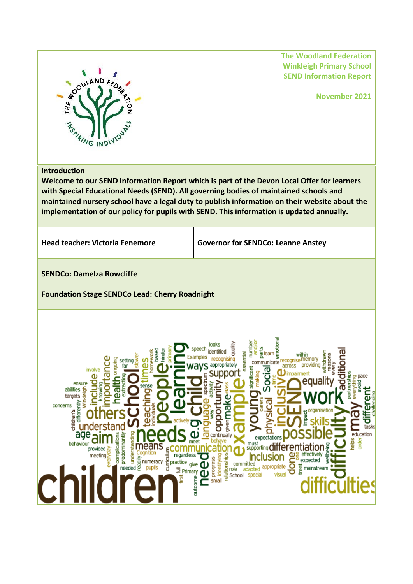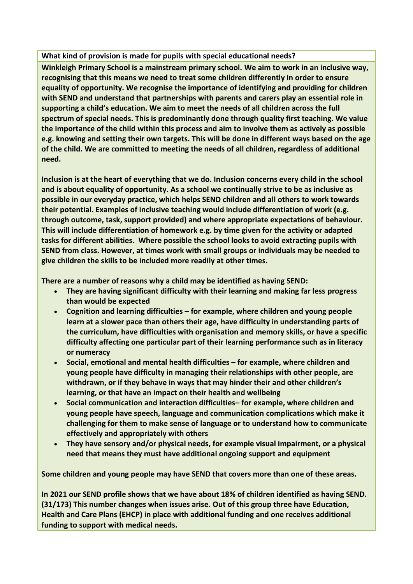## **What kind of provision is made for pupils with special educational needs?**

**Winkleigh Primary School is a mainstream primary school. We aim to work in an inclusive way, recognising that this means we need to treat some children differently in order to ensure equality of opportunity. We recognise the importance of identifying and providing for children with SEND and understand that partnerships with parents and carers play an essential role in supporting a child's education. We aim to meet the needs of all children across the full spectrum of special needs. This is predominantly done through quality first teaching. We value the importance of the child within this process and aim to involve them as actively as possible e.g. knowing and setting their own targets. This will be done in different ways based on the age of the child. We are committed to meeting the needs of all children, regardless of additional need.**

**Inclusion is at the heart of everything that we do. Inclusion concerns every child in the school and is about equality of opportunity. As a school we continually strive to be as inclusive as possible in our everyday practice, which helps SEND children and all others to work towards their potential. Examples of inclusive teaching would include differentiation of work (e.g. through outcome, task, support provided) and where appropriate expectations of behaviour. This will include differentiation of homework e.g. by time given for the activity or adapted tasks for different abilities. Where possible the school looks to avoid extracting pupils with SEND from class. However, at times work with small groups or individuals may be needed to give children the skills to be included more readily at other times.**

**There are a number of reasons why a child may be identified as having SEND:**

- **They are having significant difficulty with their learning and making far less progress than would be expected**
- **Cognition and learning difficulties – for example, where children and young people learn at a slower pace than others their age, have difficulty in understanding parts of the curriculum, have difficulties with organisation and memory skills, or have a specific difficulty affecting one particular part of their learning performance such as in literacy or numeracy**
- **Social, emotional and mental health difficulties – for example, where children and young people have difficulty in managing their relationships with other people, are withdrawn, or if they behave in ways that may hinder their and other children's learning, or that have an impact on their health and wellbeing**
- **Social communication and interaction difficulties– for example, where children and young people have speech, language and communication complications which make it challenging for them to make sense of language or to understand how to communicate effectively and appropriately with others**
- **They have sensory and/or physical needs, for example visual impairment, or a physical need that means they must have additional ongoing support and equipment**

**Some children and young people may have SEND that covers more than one of these areas.**

**In 2021 our SEND profile shows that we have about 18% of children identified as having SEND. (31/173) This number changes when issues arise. Out of this group three have Education, Health and Care Plans (EHCP) in place with additional funding and one receives additional funding to support with medical needs.**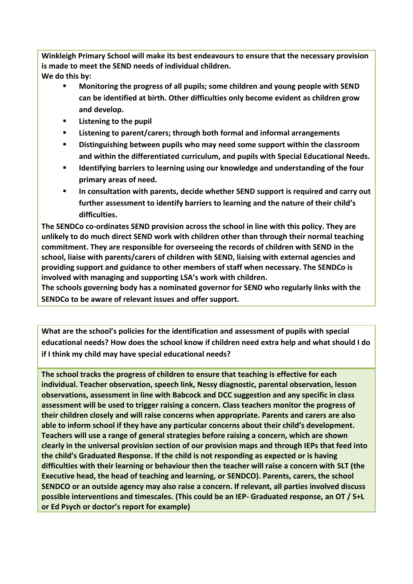**Winkleigh Primary School will make its best endeavours to ensure that the necessary provision is made to meet the SEND needs of individual children. We do this by:**

- **Monitoring the progress of all pupils; some children and young people with SEND can be identified at birth. Other difficulties only become evident as children grow and develop.**
- **Listening to the pupil**
- **Listening to parent/carers; through both formal and informal arrangements**
- **Distinguishing between pupils who may need some support within the classroom and within the differentiated curriculum, and pupils with Special Educational Needs.**
- **Identifying barriers to learning using our knowledge and understanding of the four primary areas of need.**
- **In consultation with parents, decide whether SEND support is required and carry out further assessment to identify barriers to learning and the nature of their child's difficulties.**

**The SENDCo co-ordinates SEND provision across the school in line with this policy. They are unlikely to do much direct SEND work with children other than through their normal teaching commitment. They are responsible for overseeing the records of children with SEND in the school, liaise with parents/carers of children with SEND, liaising with external agencies and providing support and guidance to other members of staff when necessary. The SENDCo is involved with managing and supporting LSA's work with children.** 

**The schools governing body has a nominated governor for SEND who regularly links with the SENDCo to be aware of relevant issues and offer support.**

**What are the school's policies for the identification and assessment of pupils with special educational needs? How does the school know if children need extra help and what should I do if I think my child may have special educational needs?**

**The school tracks the progress of children to ensure that teaching is effective for each individual. Teacher observation, speech link, Nessy diagnostic, parental observation, lesson observations, assessment in line with Babcock and DCC suggestion and any specific in class assessment will be used to trigger raising a concern. Class teachers monitor the progress of their children closely and will raise concerns when appropriate. Parents and carers are also able to inform school if they have any particular concerns about their child's development. Teachers will use a range of general strategies before raising a concern, which are shown clearly in the universal provision section of our provision maps and through IEPs that feed into the child's Graduated Response. If the child is not responding as expected or is having difficulties with their learning or behaviour then the teacher will raise a concern with SLT (the Executive head, the head of teaching and learning, or SENDCO). Parents, carers, the school SENDCO or an outside agency may also raise a concern. If relevant, all parties involved discuss possible interventions and timescales. (This could be an IEP- Graduated response, an OT / S+L or Ed Psych or doctor's report for example)**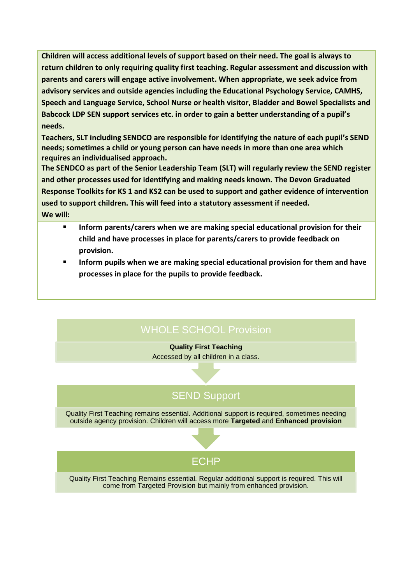**Children will access additional levels of support based on their need. The goal is always to return children to only requiring quality first teaching. Regular assessment and discussion with parents and carers will engage active involvement. When appropriate, we seek advice from advisory services and outside agencies including the Educational Psychology Service, CAMHS, Speech and Language Service, School Nurse or health visitor, Bladder and Bowel Specialists and Babcock LDP SEN support services etc. in order to gain a better understanding of a pupil's needs.**

**Teachers, SLT including SENDCO are responsible for identifying the nature of each pupil's SEND needs; sometimes a child or young person can have needs in more than one area which requires an individualised approach.**

**The SENDCO as part of the Senior Leadership Team (SLT) will regularly review the SEND register and other processes used for identifying and making needs known. The Devon Graduated Response Toolkits for KS 1 and KS2 can be used to support and gather evidence of intervention used to support children. This will feed into a statutory assessment if needed. We will:**

- **Inform parents/carers when we are making special educational provision for their child and have processes in place for parents/carers to provide feedback on provision.**
- **Inform pupils when we are making special educational provision for them and have processes in place for the pupils to provide feedback.**

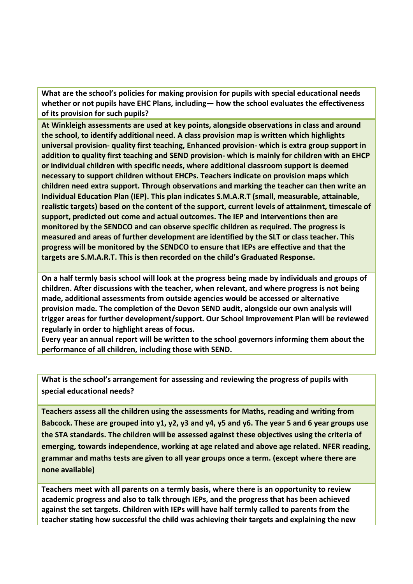**What are the school's policies for making provision for pupils with special educational needs whether or not pupils have EHC Plans, including— how the school evaluates the effectiveness of its provision for such pupils?**

**At Winkleigh assessments are used at key points, alongside observations in class and around the school, to identify additional need. A class provision map is written which highlights universal provision- quality first teaching, Enhanced provision- which is extra group support in addition to quality first teaching and SEND provision- which is mainly for children with an EHCP or individual children with specific needs, where additional classroom support is deemed necessary to support children without EHCPs. Teachers indicate on provision maps which children need extra support. Through observations and marking the teacher can then write an Individual Education Plan (IEP). This plan indicates S.M.A.R.T (small, measurable, attainable, realistic targets) based on the content of the support, current levels of attainment, timescale of support, predicted out come and actual outcomes. The IEP and interventions then are monitored by the SENDCO and can observe specific children as required. The progress is measured and areas of further development are identified by the SLT or class teacher. This progress will be monitored by the SENDCO to ensure that IEPs are effective and that the targets are S.M.A.R.T. This is then recorded on the child's Graduated Response.**

**On a half termly basis school will look at the progress being made by individuals and groups of children. After discussions with the teacher, when relevant, and where progress is not being made, additional assessments from outside agencies would be accessed or alternative provision made. The completion of the Devon SEND audit, alongside our own analysis will trigger areas for further development/support. Our School Improvement Plan will be reviewed regularly in order to highlight areas of focus.** 

**Every year an annual report will be written to the school governors informing them about the performance of all children, including those with SEND.** 

**What is the school's arrangement for assessing and reviewing the progress of pupils with special educational needs?**

**Teachers assess all the children using the assessments for Maths, reading and writing from Babcock. These are grouped into y1, y2, y3 and y4, y5 and y6. The year 5 and 6 year groups use the STA standards. The children will be assessed against these objectives using the criteria of emerging, towards independence, working at age related and above age related. NFER reading, grammar and maths tests are given to all year groups once a term. (except where there are none available)**

**Teachers meet with all parents on a termly basis, where there is an opportunity to review academic progress and also to talk through IEPs, and the progress that has been achieved against the set targets. Children with IEPs will have half termly called to parents from the teacher stating how successful the child was achieving their targets and explaining the new**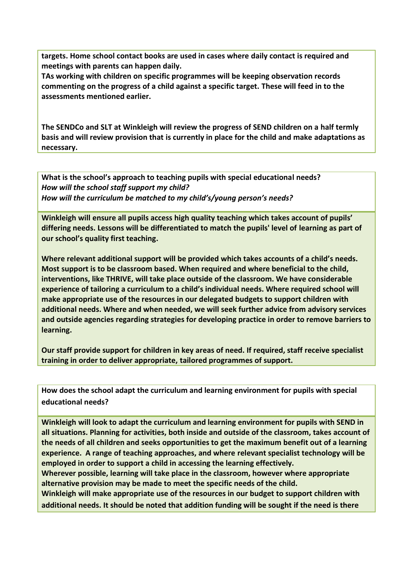**targets. Home school contact books are used in cases where daily contact is required and meetings with parents can happen daily.**

**TAs working with children on specific programmes will be keeping observation records commenting on the progress of a child against a specific target. These will feed in to the assessments mentioned earlier.**

**The SENDCo and SLT at Winkleigh will review the progress of SEND children on a half termly basis and will review provision that is currently in place for the child and make adaptations as necessary.** 

**What is the school's approach to teaching pupils with special educational needs?** *How will the school staff support my child? How will the curriculum be matched to my child's/young person's needs?*

**Winkleigh will ensure all pupils access high quality teaching which takes account of pupils' differing needs. Lessons will be differentiated to match the pupils' level of learning as part of our school's quality first teaching.**

**Where relevant additional support will be provided which takes accounts of a child's needs. Most support is to be classroom based. When required and where beneficial to the child, interventions, like THRIVE, will take place outside of the classroom. We have considerable experience of tailoring a curriculum to a child's individual needs. Where required school will make appropriate use of the resources in our delegated budgets to support children with additional needs. Where and when needed, we will seek further advice from advisory services and outside agencies regarding strategies for developing practice in order to remove barriers to learning.** 

**Our staff provide support for children in key areas of need. If required, staff receive specialist training in order to deliver appropriate, tailored programmes of support.** 

**How does the school adapt the curriculum and learning environment for pupils with special educational needs?**

**Winkleigh will look to adapt the curriculum and learning environment for pupils with SEND in all situations. Planning for activities, both inside and outside of the classroom, takes account of the needs of all children and seeks opportunities to get the maximum benefit out of a learning experience. A range of teaching approaches, and where relevant specialist technology will be employed in order to support a child in accessing the learning effectively. Wherever possible, learning will take place in the classroom, however where appropriate alternative provision may be made to meet the specific needs of the child. Winkleigh will make appropriate use of the resources in our budget to support children with additional needs. It should be noted that addition funding will be sought if the need is there**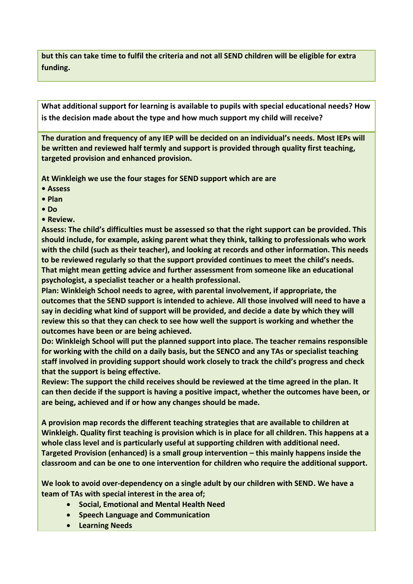**but this can take time to fulfil the criteria and not all SEND children will be eligible for extra funding.**

**What additional support for learning is available to pupils with special educational needs? How is the decision made about the type and how much support my child will receive?**

**The duration and frequency of any IEP will be decided on an individual's needs. Most IEPs will be written and reviewed half termly and support is provided through quality first teaching, targeted provision and enhanced provision.** 

**At Winkleigh we use the four stages for SEND support which are are**

- **Assess**
- **Plan**
- **Do**
- **Review.**

**Assess: The child's difficulties must be assessed so that the right support can be provided. This should include, for example, asking parent what they think, talking to professionals who work with the child (such as their teacher), and looking at records and other information. This needs to be reviewed regularly so that the support provided continues to meet the child's needs. That might mean getting advice and further assessment from someone like an educational psychologist, a specialist teacher or a health professional.**

**Plan: Winkleigh School needs to agree, with parental involvement, if appropriate, the outcomes that the SEND support is intended to achieve. All those involved will need to have a say in deciding what kind of support will be provided, and decide a date by which they will review this so that they can check to see how well the support is working and whether the outcomes have been or are being achieved.**

**Do: Winkleigh School will put the planned support into place. The teacher remains responsible for working with the child on a daily basis, but the SENCO and any TAs or specialist teaching staff involved in providing support should work closely to track the child's progress and check that the support is being effective.**

**Review: The support the child receives should be reviewed at the time agreed in the plan. It can then decide if the support is having a positive impact, whether the outcomes have been, or are being, achieved and if or how any changes should be made.**

**A provision map records the different teaching strategies that are available to children at Winkleigh. Quality first teaching is provision which is in place for all children. This happens at a whole class level and is particularly useful at supporting children with additional need. Targeted Provision (enhanced) is a small group intervention – this mainly happens inside the classroom and can be one to one intervention for children who require the additional support.** 

**We look to avoid over-dependency on a single adult by our children with SEND. We have a team of TAs with special interest in the area of;** 

- **Social, Emotional and Mental Health Need**
- **•** Speech Language and Communication
- **Learning Needs**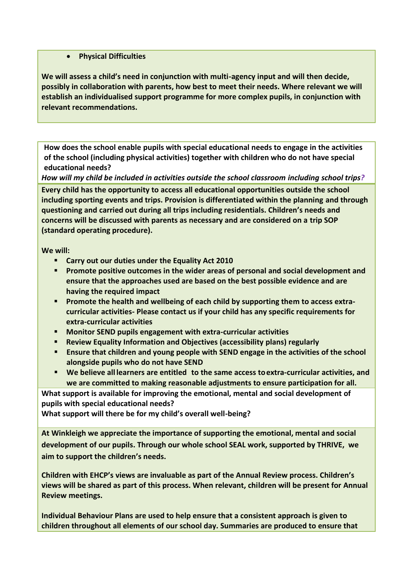## **Physical Difficulties**

**We will assess a child's need in conjunction with multi-agency input and will then decide, possibly in collaboration with parents, how best to meet their needs. Where relevant we will establish an individualised support programme for more complex pupils, in conjunction with relevant recommendations.** 

**How does the school enable pupils with special educational needs to engage in the activities of the school (including physical activities) together with children who do not have special educational needs?**

*How will my child be included in activities outside the school classroom including school trips?*

**Every child has the opportunity to access all educational opportunities outside the school including sporting events and trips. Provision is differentiated within the planning and through questioning and carried out during all trips including residentials. Children's needs and concerns will be discussed with parents as necessary and are considered on a trip SOP (standard operating procedure).**

**We will:**

- **Carry out our duties under the Equality Act 2010**
- **Promote positive outcomes in the wider areas of personal and social development and ensure that the approaches used are based on the best possible evidence and are having the required impact**
- **Promote the health and wellbeing of each child by supporting them to access extracurricular activities- Please contact us if your child has any specific requirements for extra-curricular activities**
- **Monitor SEND pupils engagement with extra-curricular activities**
- **Review Equality Information and Objectives (accessibility plans) regularly**
- **Ensure that children and young people with SEND engage in the activities of the school alongside pupils who do not have SEND**
- **We believe all learners are entitled to the same access toextra-curricular activities, and we are committed to making reasonable adjustments to ensure participation for all.**

**What support is available for improving the emotional, mental and social development of pupils with special educational needs?**

**What support will there be for my child's overall well-being?**

**At Winkleigh we appreciate the importance of supporting the emotional, mental and social development of our pupils. Through our whole school SEAL work, supported by THRIVE, we aim to support the children's needs.** 

**Children with EHCP's views are invaluable as part of the Annual Review process. Children's views will be shared as part of this process. When relevant, children will be present for Annual Review meetings.** 

**Individual Behaviour Plans are used to help ensure that a consistent approach is given to children throughout all elements of our school day. Summaries are produced to ensure that**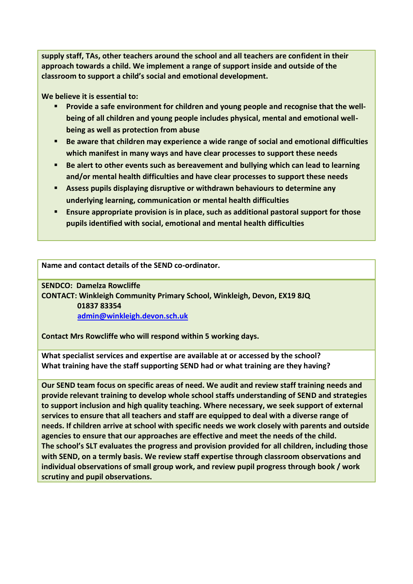**supply staff, TAs, other teachers around the school and all teachers are confident in their approach towards a child. We implement a range of support inside and outside of the classroom to support a child's social and emotional development.** 

**We believe it is essential to:**

- **Provide a safe environment for children and young people and recognise that the wellbeing of all children and young people includes physical, mental and emotional wellbeing as well as protection from abuse**
- **Be aware that children may experience a wide range of social and emotional difficulties which manifest in many ways and have clear processes to support these needs**
- **Be alert to other events such as bereavement and bullying which can lead to learning and/or mental health difficulties and have clear processes to support these needs**
- **Assess pupils displaying disruptive or withdrawn behaviours to determine any underlying learning, communication or mental health difficulties**
- **Ensure appropriate provision is in place, such as additional pastoral support for those pupils identified with social, emotional and mental health difficulties**

**Name and contact details of the SEND co-ordinator.**

**SENDCO: Damelza Rowcliffe**

**CONTACT: Winkleigh Community Primary School, Winkleigh, Devon, EX19 8JQ 01837 83354 [admin@winkleigh.devon.sch.uk](mailto:admin@winkleigh.devon.sch.uk)**

**Contact Mrs Rowcliffe who will respond within 5 working days.**

**What specialist services and expertise are available at or accessed by the school? What training have the staff supporting SEND had or what training are they having?**

**Our SEND team focus on specific areas of need. We audit and review staff training needs and provide relevant training to develop whole school staffs understanding of SEND and strategies to support inclusion and high quality teaching. Where necessary, we seek support of external services to ensure that all teachers and staff are equipped to deal with a diverse range of needs. If children arrive at school with specific needs we work closely with parents and outside agencies to ensure that our approaches are effective and meet the needs of the child. The school's SLT evaluates the progress and provision provided for all children, including those with SEND, on a termly basis. We review staff expertise through classroom observations and individual observations of small group work, and review pupil progress through book / work scrutiny and pupil observations.**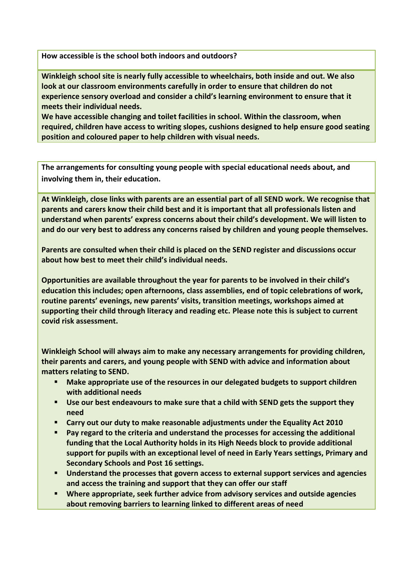**How accessible is the school both indoors and outdoors?**

**Winkleigh school site is nearly fully accessible to wheelchairs, both inside and out. We also look at our classroom environments carefully in order to ensure that children do not experience sensory overload and consider a child's learning environment to ensure that it meets their individual needs.** 

**We have accessible changing and toilet facilities in school. Within the classroom, when required, children have access to writing slopes, cushions designed to help ensure good seating position and coloured paper to help children with visual needs.** 

**The arrangements for consulting young people with special educational needs about, and involving them in, their education.**

**At Winkleigh, close links with parents are an essential part of all SEND work. We recognise that parents and carers know their child best and it is important that all professionals listen and understand when parents' express concerns about their child's development. We will listen to and do our very best to address any concerns raised by children and young people themselves.**

**Parents are consulted when their child is placed on the SEND register and discussions occur about how best to meet their child's individual needs.** 

**Opportunities are available throughout the year for parents to be involved in their child's education this includes; open afternoons, class assemblies, end of topic celebrations of work, routine parents' evenings, new parents' visits, transition meetings, workshops aimed at supporting their child through literacy and reading etc. Please note this is subject to current covid risk assessment.**

**Winkleigh School will always aim to make any necessary arrangements for providing children, their parents and carers, and young people with SEND with advice and information about matters relating to SEND.**

- **Make appropriate use of the resources in our delegated budgets to support children with additional needs**
- **Use our best endeavours to make sure that a child with SEND gets the support they need**
- **Carry out our duty to make reasonable adjustments under the Equality Act 2010**
- **Pay regard to the criteria and understand the processes for accessing the additional funding that the Local Authority holds in its High Needs block to provide additional support for pupils with an exceptional level of need in Early Years settings, Primary and Secondary Schools and Post 16 settings.**
- **Understand the processes that govern access to external support services and agencies and access the training and support that they can offer our staff**
- **Where appropriate, seek further advice from advisory services and outside agencies about removing barriers to learning linked to different areas of need**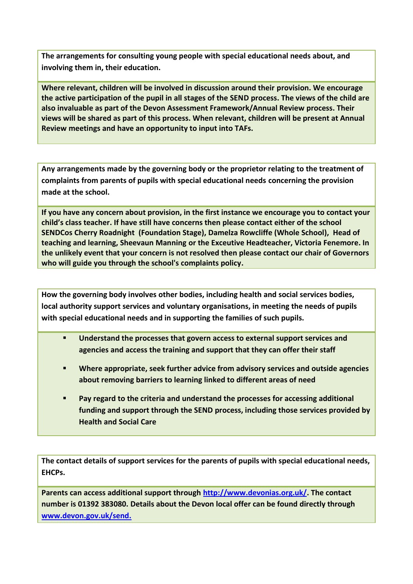**The arrangements for consulting young people with special educational needs about, and involving them in, their education.**

**Where relevant, children will be involved in discussion around their provision. We encourage the active participation of the pupil in all stages of the SEND process. The views of the child are also invaluable as part of the Devon Assessment Framework/Annual Review process. Their views will be shared as part of this process. When relevant, children will be present at Annual Review meetings and have an opportunity to input into TAFs.**

**Any arrangements made by the governing body or the proprietor relating to the treatment of complaints from parents of pupils with special educational needs concerning the provision made at the school.**

**If you have any concern about provision, in the first instance we encourage you to contact your child's class teacher. If have still have concerns then please contact either of the school SENDCos Cherry Roadnight (Foundation Stage), Damelza Rowcliffe (Whole School), Head of teaching and learning, Sheevaun Manning or the Exceutive Headteacher, Victoria Fenemore. In the unlikely event that your concern is not resolved then please contact our chair of Governors who will guide you through the school's complaints policy.**

**How the governing body involves other bodies, including health and social services bodies, local authority support services and voluntary organisations, in meeting the needs of pupils with special educational needs and in supporting the families of such pupils.**

- **Understand the processes that govern access to external support services and agencies and access the training and support that they can offer their staff**
- **Where appropriate, seek further advice from advisory services and outside agencies about removing barriers to learning linked to different areas of need**
- **Pay regard to the criteria and understand the processes for accessing additional funding and support through the SEND process, including those services provided by Health and Social Care**

**The contact details of support services for the parents of pupils with special educational needs, EHCPs.**

**Parents can access additional support through [http://www.devonias.org.uk/.](http://www.devonias.org.uk/) The contact number is 01392 383080. Details about the Devon local offer can be found directly through [www.devon.gov.uk/send.](http://www.devon.gov.uk/send)**